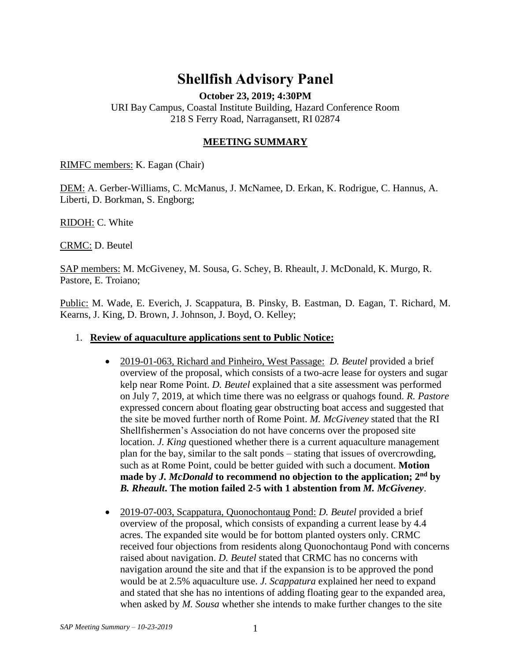# **Shellfish Advisory Panel**

**October 23, 2019; 4:30PM**

URI Bay Campus, Coastal Institute Building, Hazard Conference Room 218 S Ferry Road, Narragansett, RI 02874

### **MEETING SUMMARY**

RIMFC members: K. Eagan (Chair)

DEM: A. Gerber-Williams, C. McManus, J. McNamee, D. Erkan, K. Rodrigue, C. Hannus, A. Liberti, D. Borkman, S. Engborg;

RIDOH: C. White

CRMC: D. Beutel

SAP members: M. McGiveney, M. Sousa, G. Schey, B. Rheault, J. McDonald, K. Murgo, R. Pastore, E. Troiano;

Public: M. Wade, E. Everich, J. Scappatura, B. Pinsky, B. Eastman, D. Eagan, T. Richard, M. Kearns, J. King, D. Brown, J. Johnson, J. Boyd, O. Kelley;

#### 1. **Review of aquaculture applications sent to Public Notice:**

- 2019-01-063, Richard and Pinheiro, West Passage: *D. Beutel* provided a brief overview of the proposal, which consists of a two-acre lease for oysters and sugar kelp near Rome Point. *D. Beutel* explained that a site assessment was performed on July 7, 2019, at which time there was no eelgrass or quahogs found. *R. Pastore* expressed concern about floating gear obstructing boat access and suggested that the site be moved further north of Rome Point. *M. McGiveney* stated that the RI Shellfishermen's Association do not have concerns over the proposed site location. *J. King* questioned whether there is a current aquaculture management plan for the bay, similar to the salt ponds – stating that issues of overcrowding, such as at Rome Point, could be better guided with such a document. **Motion made by** *J. McDonald* **to recommend no objection to the application; 2nd by**  *B. Rheault***. The motion failed 2-5 with 1 abstention from** *M. McGiveney*.
- 2019-07-003, Scappatura, Quonochontaug Pond: *D. Beutel* provided a brief overview of the proposal, which consists of expanding a current lease by 4.4 acres. The expanded site would be for bottom planted oysters only. CRMC received four objections from residents along Quonochontaug Pond with concerns raised about navigation. *D. Beutel* stated that CRMC has no concerns with navigation around the site and that if the expansion is to be approved the pond would be at 2.5% aquaculture use. *J. Scappatura* explained her need to expand and stated that she has no intentions of adding floating gear to the expanded area, when asked by *M. Sousa* whether she intends to make further changes to the site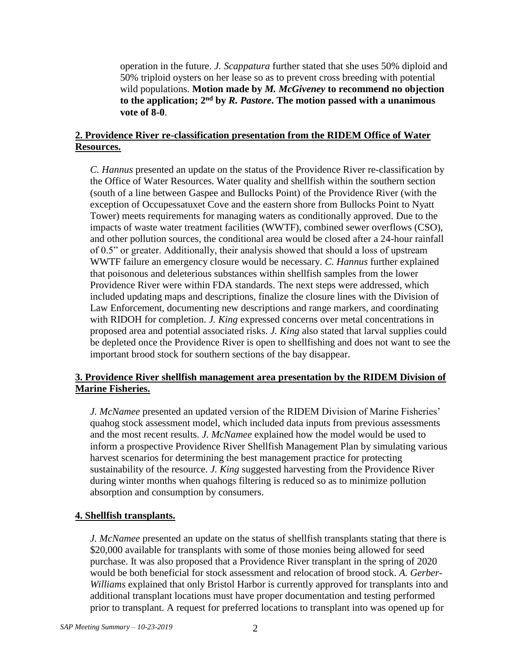operation in the future. *J. Scappatura* further stated that she uses 50% diploid and 50% triploid oysters on her lease so as to prevent cross breeding with potential wild populations. **Motion made by** *M. McGiveney* **to recommend no objection to the application; 2nd by** *R. Pastore***. The motion passed with a unanimous vote of 8-0**.

# **2. Providence River re-classification presentation from the RIDEM Office of Water Resources.**

*C. Hannus* presented an update on the status of the Providence River re-classification by the Office of Water Resources. Water quality and shellfish within the southern section (south of a line between Gaspee and Bullocks Point) of the Providence River (with the exception of Occupessatuxet Cove and the eastern shore from Bullocks Point to Nyatt Tower) meets requirements for managing waters as conditionally approved. Due to the impacts of waste water treatment facilities (WWTF), combined sewer overflows (CSO), and other pollution sources, the conditional area would be closed after a 24-hour rainfall of 0.5" or greater. Additionally, their analysis showed that should a loss of upstream WWTF failure an emergency closure would be necessary. *C. Hannus* further explained that poisonous and deleterious substances within shellfish samples from the lower Providence River were within FDA standards. The next steps were addressed, which included updating maps and descriptions, finalize the closure lines with the Division of Law Enforcement, documenting new descriptions and range markers, and coordinating with RIDOH for completion. *J. King* expressed concerns over metal concentrations in proposed area and potential associated risks. *J. King* also stated that larval supplies could be depleted once the Providence River is open to shellfishing and does not want to see the important brood stock for southern sections of the bay disappear.

# **3. Providence River shellfish management area presentation by the RIDEM Division of Marine Fisheries.**

*J. McNamee* presented an updated version of the RIDEM Division of Marine Fisheries' quahog stock assessment model, which included data inputs from previous assessments and the most recent results. *J. McNamee* explained how the model would be used to inform a prospective Providence River Shellfish Management Plan by simulating various harvest scenarios for determining the best management practice for protecting sustainability of the resource. *J. King* suggested harvesting from the Providence River during winter months when quahogs filtering is reduced so as to minimize pollution absorption and consumption by consumers.

# **4. Shellfish transplants.**

*J. McNamee* presented an update on the status of shellfish transplants stating that there is \$20,000 available for transplants with some of those monies being allowed for seed purchase. It was also proposed that a Providence River transplant in the spring of 2020 would be both beneficial for stock assessment and relocation of brood stock. *A. Gerber-Williams* explained that only Bristol Harbor is currently approved for transplants into and additional transplant locations must have proper documentation and testing performed prior to transplant. A request for preferred locations to transplant into was opened up for